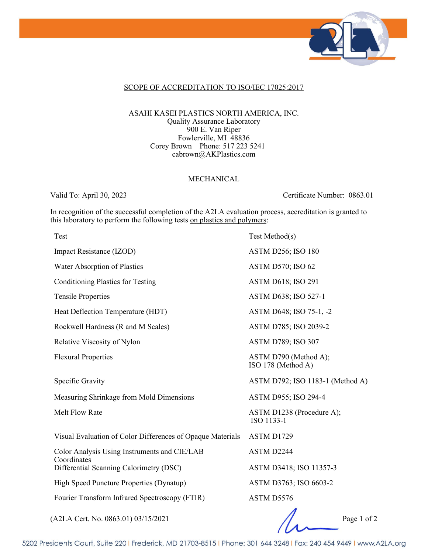

### SCOPE OF ACCREDITATION TO ISO/IEC 17025:2017

#### ASAHI KASEI PLASTICS NORTH AMERICA, INC. Quality Assurance Laboratory 900 E. Van Riper Fowlerville, MI 48836 Corey Brown Phone: 517 223 5241 cabrown@AKPlastics.com

### MECHANICAL

Valid To: April 30, 2023 Certificate Number: 0863.01

In recognition of the successful completion of the A2LA evaluation process, accreditation is granted to this laboratory to perform the following tests on plastics and polymers:

| Test                                                       | Test Method(s)                              |
|------------------------------------------------------------|---------------------------------------------|
| Impact Resistance (IZOD)                                   | <b>ASTM D256; ISO 180</b>                   |
| Water Absorption of Plastics                               | <b>ASTM D570; ISO 62</b>                    |
| <b>Conditioning Plastics for Testing</b>                   | <b>ASTM D618; ISO 291</b>                   |
| <b>Tensile Properties</b>                                  | ASTM D638; ISO 527-1                        |
| Heat Deflection Temperature (HDT)                          | ASTM D648; ISO 75-1, -2                     |
| Rockwell Hardness (R and M Scales)                         | ASTM D785; ISO 2039-2                       |
| Relative Viscosity of Nylon                                | <b>ASTM D789; ISO 307</b>                   |
| <b>Flexural Properties</b>                                 | ASTM D790 (Method A);<br>ISO 178 (Method A) |
| Specific Gravity                                           | ASTM D792; ISO 1183-1 (Method A)            |
| Measuring Shrinkage from Mold Dimensions                   | ASTM D955; ISO 294-4                        |
| Melt Flow Rate                                             | ASTM D1238 (Procedure A);<br>ISO 1133-1     |
| Visual Evaluation of Color Differences of Opaque Materials | ASTM D1729                                  |
| Color Analysis Using Instruments and CIE/LAB               | ASTM D2244                                  |
| Coordinates<br>Differential Scanning Calorimetry (DSC)     | ASTM D3418; ISO 11357-3                     |
| High Speed Puncture Properties (Dynatup)                   | ASTM D3763; ISO 6603-2                      |
| Fourier Transform Infrared Spectroscopy (FTIR)             | ASTM D5576                                  |
|                                                            |                                             |

(A2LA Cert. No. 0863.01) 03/15/2021 Page 1 of 2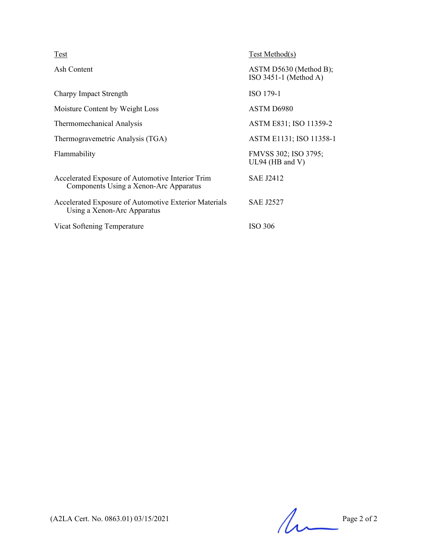| <b>Test</b>                                                                                | Test Method(s)                                    |
|--------------------------------------------------------------------------------------------|---------------------------------------------------|
| Ash Content                                                                                | ASTM D5630 (Method B);<br>$ISO$ 3451-1 (Method A) |
| Charpy Impact Strength                                                                     | ISO 179-1                                         |
| Moisture Content by Weight Loss                                                            | ASTM D6980                                        |
| Thermomechanical Analysis                                                                  | ASTM E831; ISO 11359-2                            |
| Thermogravemetric Analysis (TGA)                                                           | ASTM E1131; ISO 11358-1                           |
| Flammability                                                                               | FMVSS 302; ISO 3795;<br>UL94 (HB and V)           |
| Accelerated Exposure of Automotive Interior Trim<br>Components Using a Xenon-Arc Apparatus | <b>SAE J2412</b>                                  |
| Accelerated Exposure of Automotive Exterior Materials<br>Using a Xenon-Arc Apparatus       | <b>SAE J2527</b>                                  |
| Vicat Softening Temperature                                                                | ISO 306                                           |

 $(A2LA$  Cert. No. 0863.01) 03/15/2021 Page 2 of 2